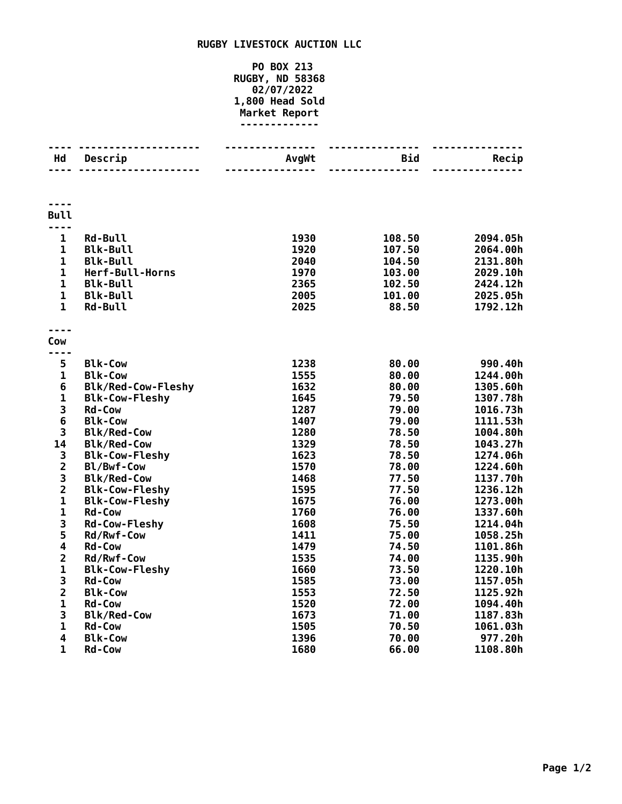## **RUGBY LIVESTOCK AUCTION LLC**

## **PO BOX 213 RUGBY, ND 58368 02/07/2022 1,800 Head Sold Market Report -------------**

| Hd                      | .<br>Descrip                        | <b>AvgWt</b> | Bid              | Recip                |
|-------------------------|-------------------------------------|--------------|------------------|----------------------|
|                         | .                                   |              |                  |                      |
| <b>Bull</b>             |                                     |              |                  |                      |
| ----<br>$\mathbf{1}$    |                                     |              |                  |                      |
| $\mathbf 1$             | Rd-Bull<br><b>Blk-Bull</b>          | 1930<br>1920 | 108.50<br>107.50 | 2094.05h<br>2064.00h |
| $\mathbf 1$             | <b>Blk-Bull</b>                     | 2040         | 104.50           | 2131.80h             |
| $\mathbf{1}$            | Herf-Bull-Horns                     | 1970         | 103.00           | 2029.10h             |
| $\mathbf 1$             | <b>Blk-Bull</b>                     | 2365         | 102.50           | 2424.12h             |
| $\mathbf{1}$            | <b>Blk-Bull</b>                     | 2005         | 101.00           | 2025.05h             |
| $\mathbf{1}$            | <b>Rd-Bull</b>                      | 2025         | 88.50            | 1792.12h             |
|                         |                                     |              |                  |                      |
| Cow                     |                                     |              |                  |                      |
|                         |                                     |              |                  |                      |
| 5                       | <b>Blk-Cow</b>                      | 1238         | 80.00            | 990.40h              |
| $\mathbf 1$             | <b>Blk-Cow</b>                      | 1555         | 80.00            | 1244.00h             |
| 6                       | <b>Blk/Red-Cow-Fleshy</b>           | 1632         | 80.00            | 1305.60h             |
| $\mathbf{1}$            | <b>Blk-Cow-Fleshy</b>               | 1645         | 79.50            | 1307.78h             |
| 3<br>6                  | <b>Rd-Cow</b>                       | 1287         | 79.00            | 1016.73h             |
|                         | <b>Blk-Cow</b>                      | 1407         | 79.00            | 1111.53h             |
| 3                       | <b>Blk/Red-Cow</b>                  | 1280         | 78.50            | 1004.80h             |
| 14<br>3                 | <b>Blk/Red-Cow</b>                  | 1329<br>1623 | 78.50<br>78.50   | 1043.27h<br>1274.06h |
| $\overline{2}$          | <b>Blk-Cow-Fleshy</b><br>Bl/Bwf-Cow | 1570         | 78.00            | 1224.60h             |
| 3                       | <b>Blk/Red-Cow</b>                  | 1468         | 77.50            | 1137.70h             |
| $\overline{2}$          | <b>Blk-Cow-Fleshy</b>               | 1595         | 77.50            | 1236.12h             |
| $\mathbf 1$             | <b>Blk-Cow-Fleshy</b>               | 1675         | 76.00            | 1273.00h             |
| $\mathbf{1}$            | <b>Rd-Cow</b>                       | 1760         | 76.00            | 1337.60h             |
| 3                       | <b>Rd-Cow-Fleshy</b>                | 1608         | 75.50            | 1214.04h             |
| 5                       | Rd/Rwf-Cow                          | 1411         | 75.00            | 1058.25h             |
| 4                       | <b>Rd-Cow</b>                       | 1479         | 74.50            | 1101.86h             |
| $\overline{\mathbf{c}}$ | Rd/Rwf-Cow                          | 1535         | 74.00            | 1135.90h             |
| $\mathbf{1}$            | <b>Blk-Cow-Fleshy</b>               | 1660         | 73.50            | 1220.10h             |
| 3                       | Rd-Cow                              | 1585         | 73.00            | 1157.05h             |
| $\overline{\mathbf{2}}$ | <b>Blk-Cow</b>                      | 1553         | 72.50            | 1125.92h             |
| $\mathbf{1}$            | <b>Rd-Cow</b>                       | 1520         | 72.00            | 1094.40h             |
| 3                       | <b>Blk/Red-Cow</b>                  | 1673         | 71.00            | 1187.83h             |
| $\mathbf{1}$            | Rd-Cow                              | 1505         | 70.50            | 1061.03h             |
| 4                       | <b>Blk-Cow</b>                      | 1396         | 70.00            | 977.20h              |
| 1                       | <b>Rd-Cow</b>                       | 1680         | 66.00            | 1108.80h             |